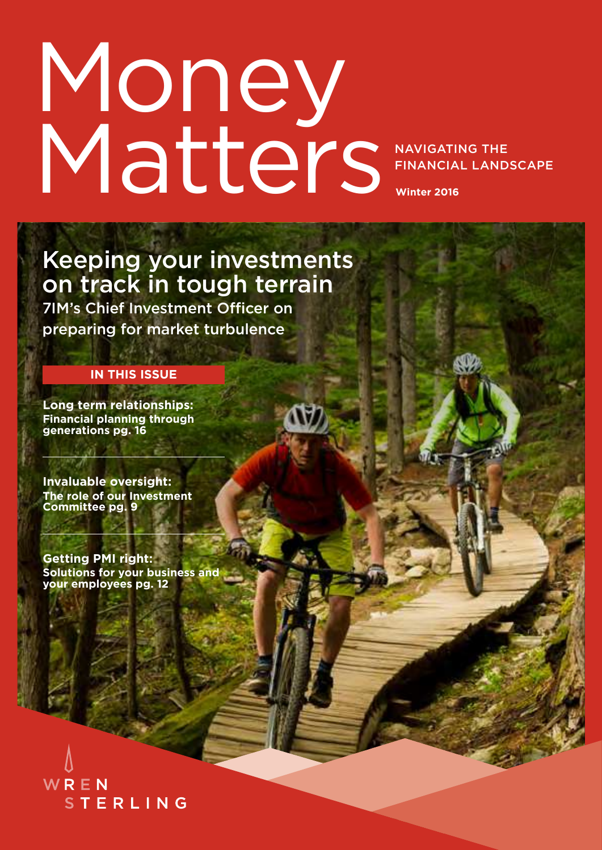## NAVIGATING THE FINANCIAL LANDSCAPE **Winter 2016** Money Matters

Keeping your investments on track in tough terrain

7IM's Chief Investment Officer on preparing for market turbulence

#### **IN THIS ISSUE**

**[Long term relationships:](#page-15-0)  [Financial planning through](#page-15-0)  [generations pg. 16](#page-15-0)**

**[Invaluable oversight:](#page-8-0) [The role of our Investment](#page-8-0)  [Committee pg. 9](#page-8-0)**

**[Getting PMI right:](#page-11-0)  [Solutions for your business and](#page-11-0)  [your employees pg. 12](#page-11-0)**

WREN **STERLING**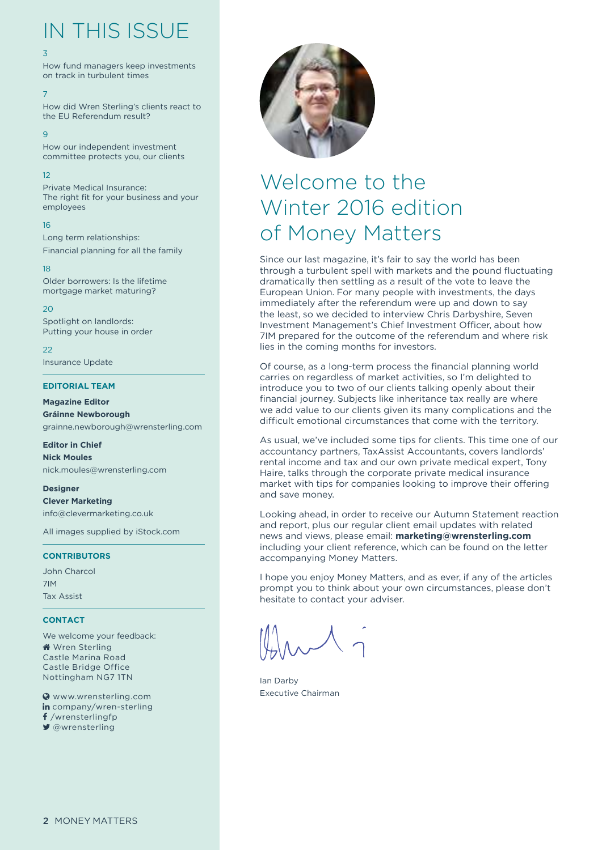### IN THIS ISSUE

#### [3](#page-2-0)

[How fund managers keep investments](#page-2-0)  [on track in turbulent times](#page-2-0)

[7](#page-6-0)

[How did Wren Sterling's clients react to](#page-6-0)  [the EU Referendum result?](#page-6-0)

 $\alpha$ 

[How our independent investment](#page-8-0)  [committee protects you, our clients](#page-8-0)

[12](#page-11-0)

[Private Medical Insurance:](#page-11-0)  [The right fit for your business and your](#page-11-0)  [employees](#page-11-0)

[16](#page-15-0)

[Long term relationships:](#page-15-0) [Financial planning for all the family](#page-15-0)

[18](#page-17-0) [Older borrowers: Is the lifetime](#page-17-0)  [mortgage market maturing?](#page-17-0)

 $20$ [Spotlight on landlords:](#page-19-0) [Putting your house in order](#page-19-0)

 $22$ [Insurance Update](#page-21-0)

#### **EDITORIAL TEAM**

**Magazine Editor Gráinne Newborough** grainne.newborough@wrensterling.com

**Editor in Chief Nick Moules** nick.moules@wrensterling.com

**Designer Clever Marketing** info@clevermarketing.co.uk

All images supplied by iStock.com

#### **CONTRIBUTORS**

John Charcol 7IM Tax Assist

#### **CONTACT**

We welcome your feedback: **Wren Sterling** Castle Marina Road Castle Bridge Office Nottingham NG7 1TN

 [www.wrensterling.com](http://www.wrensterling.com) in [company/wren-sterling](https://www.linkedin.com/company/wren-sterling) f [/wrensterlingfp](https://www.facebook.com/wrensterlingfp)  [@wrensterling](https://twitter.com/wrensterling)



### Welcome to the Winter 2016 edition of Money Matters

Since our last magazine, it's fair to say the world has been through a turbulent spell with markets and the pound fluctuating dramatically then settling as a result of the vote to leave the European Union. For many people with investments, the days immediately after the referendum were up and down to say the least, so we decided to interview Chris Darbyshire, Seven Investment Management's Chief Investment Officer, about how 7IM prepared for the outcome of the referendum and where risk lies in the coming months for investors.

Of course, as a long-term process the financial planning world carries on regardless of market activities, so I'm delighted to introduce you to two of our clients talking openly about their financial journey. Subjects like inheritance tax really are where we add value to our clients given its many complications and the difficult emotional circumstances that come with the territory.

As usual, we've included some tips for clients. This time one of our accountancy partners, TaxAssist Accountants, covers landlords' rental income and tax and our own private medical expert, Tony Haire, talks through the corporate private medical insurance market with tips for companies looking to improve their offering and save money.

Looking ahead, in order to receive our Autumn Statement reaction and report, plus our regular client email updates with related news and views, please email: **marketing@wrensterling.com** including your client reference, which can be found on the letter accompanying Money Matters.

I hope you enjoy Money Matters, and as ever, if any of the articles prompt you to think about your own circumstances, please don't hesitate to contact your adviser.

Ian Darby Executive Chairman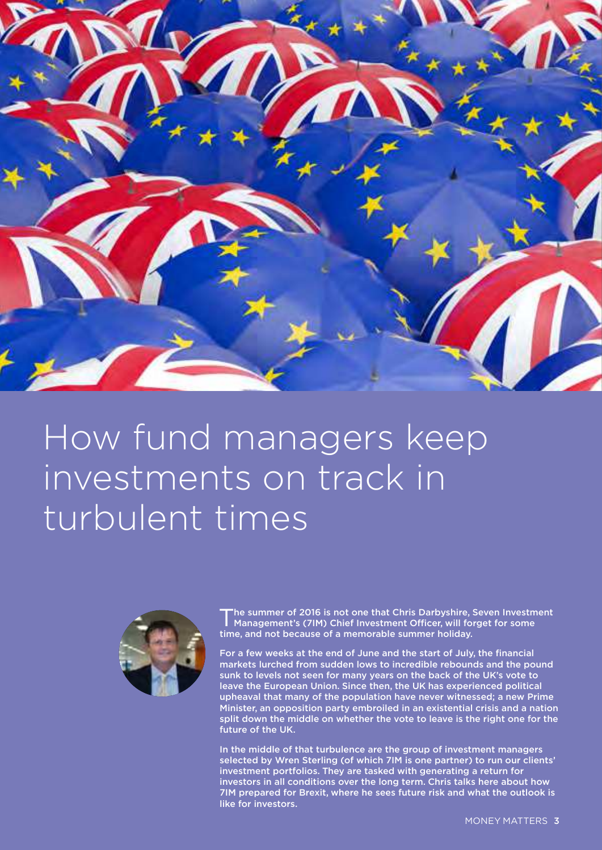<span id="page-2-0"></span>

## How fund managers keep investments on track in turbulent times

![](_page_2_Picture_2.jpeg)

The summer of 2016 is not one that Chris Darbyshire, 19. Management's (7IM) Chief Investment Officer, will for time, and not because of a memorable summer holiday. he summer of 2016 is not one that Chris Darbyshire, Seven Investment Management's (7IM) Chief Investment Officer, will forget for some

For a few weeks at the end of June and the start of July, the financial markets lurched from sudden lows to incredible rebounds and the pound sunk to levels not seen for many years on the back of the UK's vote to leave the European Union. Since then, the UK has experienced political upheaval that many of the population have never witnessed; a new Prime Minister, an opposition party embroiled in an existential crisis and a nation split down the middle on whether the vote to leave is the right one for the future of the UK.

In the middle of that turbulence are the group of investment managers selected by Wren Sterling (of which 7IM is one partner) to run our clients' investment portfolios. They are tasked with generating a return for investors in all conditions over the long term. Chris talks here about how 7IM prepared for Brexit, where he sees future risk and what the outlook is like for investors.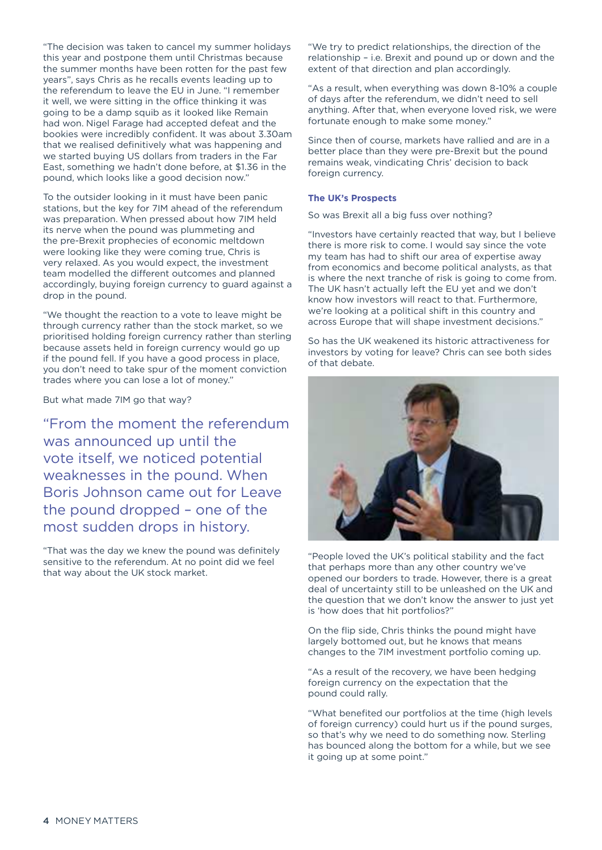"The decision was taken to cancel my summer holidays this year and postpone them until Christmas because the summer months have been rotten for the past few years", says Chris as he recalls events leading up to the referendum to leave the EU in June. "I remember it well, we were sitting in the office thinking it was going to be a damp squib as it looked like Remain had won. Nigel Farage had accepted defeat and the bookies were incredibly confident. It was about 3.30am that we realised definitively what was happening and we started buying US dollars from traders in the Far East, something we hadn't done before, at \$1.36 in the pound, which looks like a good decision now."

To the outsider looking in it must have been panic stations, but the key for 7IM ahead of the referendum was preparation. When pressed about how 7IM held its nerve when the pound was plummeting and the pre-Brexit prophecies of economic meltdown were looking like they were coming true, Chris is very relaxed. As you would expect, the investment team modelled the different outcomes and planned accordingly, buying foreign currency to guard against a drop in the pound.

"We thought the reaction to a vote to leave might be through currency rather than the stock market, so we prioritised holding foreign currency rather than sterling because assets held in foreign currency would go up if the pound fell. If you have a good process in place, you don't need to take spur of the moment conviction trades where you can lose a lot of money."

But what made 7IM go that way?

"From the moment the referendum was announced up until the vote itself, we noticed potential weaknesses in the pound. When Boris Johnson came out for Leave the pound dropped – one of the most sudden drops in history.

"That was the day we knew the pound was definitely sensitive to the referendum. At no point did we feel that way about the UK stock market.

"We try to predict relationships, the direction of the relationship – i.e. Brexit and pound up or down and the extent of that direction and plan accordingly.

"As a result, when everything was down 8-10% a couple of days after the referendum, we didn't need to sell anything. After that, when everyone loved risk, we were fortunate enough to make some money."

Since then of course, markets have rallied and are in a better place than they were pre-Brexit but the pound remains weak, vindicating Chris' decision to back foreign currency.

#### **The UK's Prospects**

So was Brexit all a big fuss over nothing?

"Investors have certainly reacted that way, but I believe there is more risk to come. I would say since the vote my team has had to shift our area of expertise away from economics and become political analysts, as that is where the next tranche of risk is going to come from. The UK hasn't actually left the EU yet and we don't know how investors will react to that. Furthermore, we're looking at a political shift in this country and across Europe that will shape investment decisions."

So has the UK weakened its historic attractiveness for investors by voting for leave? Chris can see both sides of that debate.

![](_page_3_Picture_13.jpeg)

"People loved the UK's political stability and the fact that perhaps more than any other country we've opened our borders to trade. However, there is a great deal of uncertainty still to be unleashed on the UK and the question that we don't know the answer to just yet is 'how does that hit portfolios?"

On the flip side, Chris thinks the pound might have largely bottomed out, but he knows that means changes to the 7IM investment portfolio coming up.

"As a result of the recovery, we have been hedging foreign currency on the expectation that the pound could rally.

"What benefited our portfolios at the time (high levels of foreign currency) could hurt us if the pound surges, so that's why we need to do something now. Sterling has bounced along the bottom for a while, but we see it going up at some point."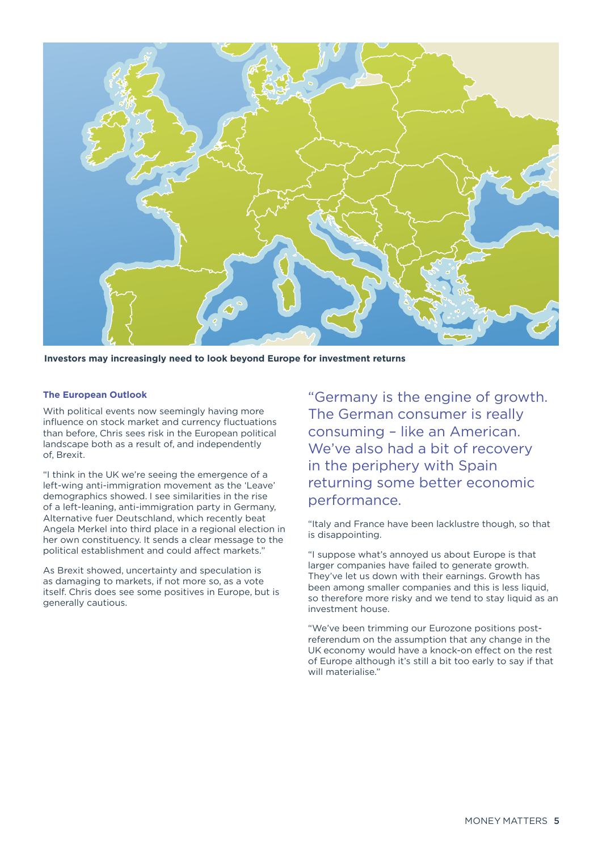![](_page_4_Picture_0.jpeg)

**Investors may increasingly need to look beyond Europe for investment returns**

#### **The European Outlook**

With political events now seemingly having more influence on stock market and currency fluctuations than before, Chris sees risk in the European political landscape both as a result of, and independently of, Brexit.

"I think in the UK we're seeing the emergence of a left-wing anti-immigration movement as the 'Leave' demographics showed. I see similarities in the rise of a left-leaning, anti-immigration party in Germany, Alternative fuer Deutschland, which recently beat Angela Merkel into third place in a regional election in her own constituency. It sends a clear message to the political establishment and could affect markets."

As Brexit showed, uncertainty and speculation is as damaging to markets, if not more so, as a vote itself. Chris does see some positives in Europe, but is generally cautious.

"Germany is the engine of growth. The German consumer is really consuming – like an American. We've also had a bit of recovery in the periphery with Spain returning some better economic performance.

"Italy and France have been lacklustre though, so that is disappointing.

"I suppose what's annoyed us about Europe is that larger companies have failed to generate growth. They've let us down with their earnings. Growth has been among smaller companies and this is less liquid, so therefore more risky and we tend to stay liquid as an investment house.

"We've been trimming our Eurozone positions postreferendum on the assumption that any change in the UK economy would have a knock-on effect on the rest of Europe although it's still a bit too early to say if that will materialise."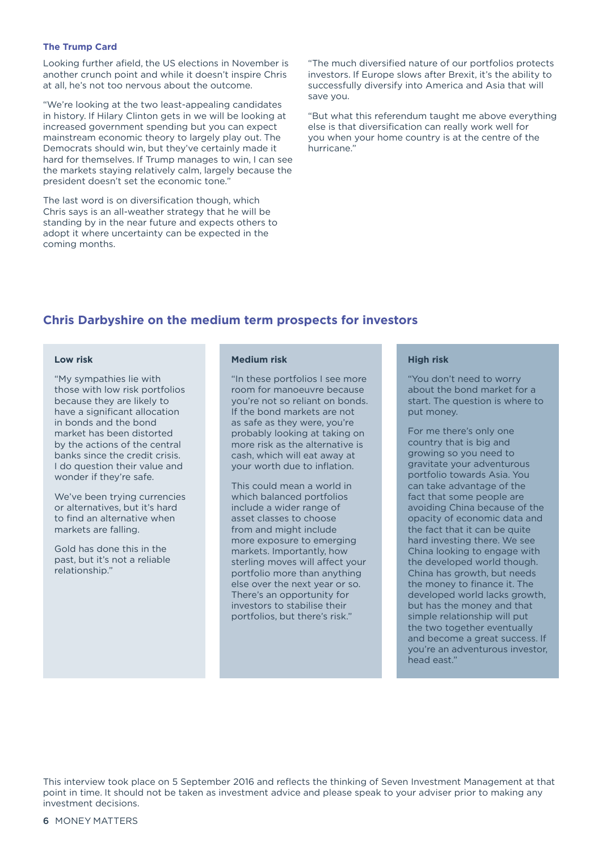#### **The Trump Card**

Looking further afield, the US elections in November is another crunch point and while it doesn't inspire Chris at all, he's not too nervous about the outcome.

"We're looking at the two least-appealing candidates in history. If Hilary Clinton gets in we will be looking at increased government spending but you can expect mainstream economic theory to largely play out. The Democrats should win, but they've certainly made it hard for themselves. If Trump manages to win, I can see the markets staying relatively calm, largely because the president doesn't set the economic tone."

The last word is on diversification though, which Chris says is an all-weather strategy that he will be standing by in the near future and expects others to adopt it where uncertainty can be expected in the coming months.

"The much diversified nature of our portfolios protects investors. If Europe slows after Brexit, it's the ability to successfully diversify into America and Asia that will save you.

"But what this referendum taught me above everything else is that diversification can really work well for you when your home country is at the centre of the hurricane."

#### **Chris Darbyshire on the medium term prospects for investors**

#### **Low risk**

"My sympathies lie with those with low risk portfolios because they are likely to have a significant allocation in bonds and the bond market has been distorted by the actions of the central banks since the credit crisis. I do question their value and wonder if they're safe.

We've been trying currencies or alternatives, but it's hard to find an alternative when markets are falling.

Gold has done this in the past, but it's not a reliable relationship."

#### **Medium risk**

"In these portfolios I see more room for manoeuvre because you're not so reliant on bonds. If the bond markets are not as safe as they were, you're probably looking at taking on more risk as the alternative is cash, which will eat away at your worth due to inflation.

This could mean a world in which balanced portfolios include a wider range of asset classes to choose from and might include more exposure to emerging markets. Importantly, how sterling moves will affect your portfolio more than anything else over the next year or so. There's an opportunity for investors to stabilise their portfolios, but there's risk."

#### **High risk**

"You don't need to worry about the bond market for a start. The question is where to put money.

For me there's only one country that is big and growing so you need to gravitate your adventurous portfolio towards Asia. You can take advantage of the fact that some people are avoiding China because of the opacity of economic data and the fact that it can be quite hard investing there. We see China looking to engage with the developed world though. China has growth, but needs the money to finance it. The developed world lacks growth, but has the money and that simple relationship will put the two together eventually and become a great success. If you're an adventurous investor, head east."

This interview took place on 5 September 2016 and reflects the thinking of Seven Investment Management at that point in time. It should not be taken as investment advice and please speak to your adviser prior to making any investment decisions.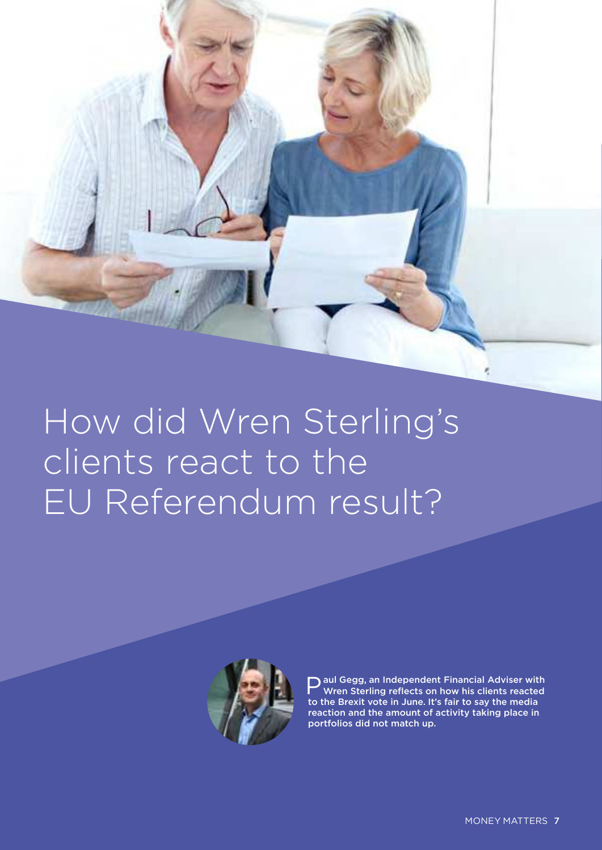<span id="page-6-0"></span>![](_page_6_Picture_0.jpeg)

![](_page_6_Picture_1.jpeg)

**P** aul Gegg, an Independent Financial Adviser wit<br>to the Brexit vote in June. It's fair to say the media aul Gegg, an Independent Financial Adviser with Wren Sterling reflects on how his clients reacted reaction and the amount of activity taking place in portfolios did not match up.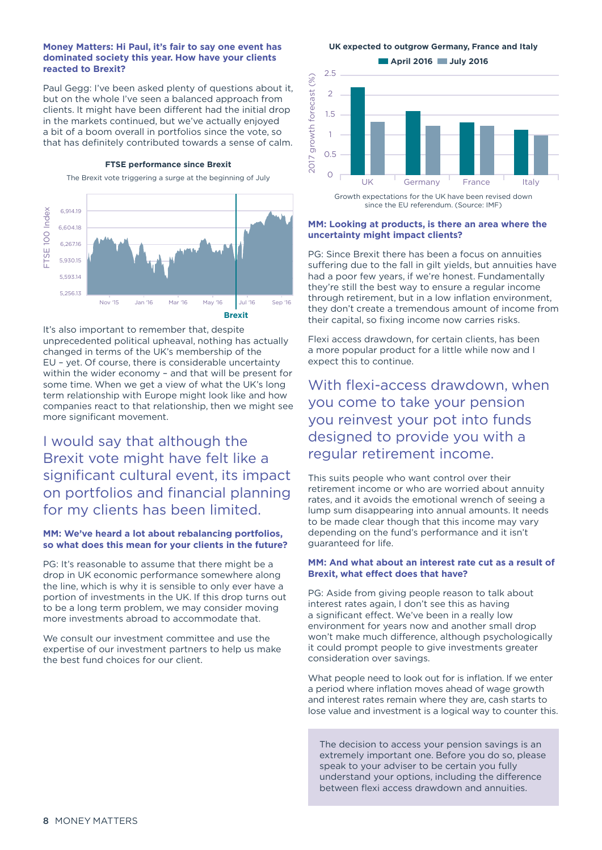#### **Money Matters: Hi Paul, it's fair to say one event has dominated society this year. How have your clients reacted to Brexit?**

Paul Gegg: I've been asked plenty of questions about it, but on the whole I've seen a balanced approach from clients. It might have been different had the initial drop in the markets continued, but we've actually enjoyed a bit of a boom overall in portfolios since the vote, so that has definitely contributed towards a sense of calm.

#### **FTSE performance since Brexit**

The Brexit vote triggering a surge at the beginning of July

![](_page_7_Figure_4.jpeg)

It's also important to remember that, despite unprecedented political upheaval, nothing has actually changed in terms of the UK's membership of the EU – yet. Of course, there is considerable uncertainty within the wider economy – and that will be present for some time. When we get a view of what the UK's long term relationship with Europe might look like and how companies react to that relationship, then we might see more significant movement.

#### I would say that although the Brexit vote might have felt like a significant cultural event, its impact on portfolios and financial planning for my clients has been limited.

#### **MM: We've heard a lot about rebalancing portfolios, so what does this mean for your clients in the future?**

PG: It's reasonable to assume that there might be a drop in UK economic performance somewhere along the line, which is why it is sensible to only ever have a portion of investments in the UK. If this drop turns out to be a long term problem, we may consider moving more investments abroad to accommodate that.

We consult our investment committee and use the expertise of our investment partners to help us make the best fund choices for our client.

**UK expected to outgrow Germany, France and Italy**

**April 2016** July 2016

![](_page_7_Figure_12.jpeg)

since the EU referendum. (Source: IMF)

#### **MM: Looking at products, is there an area where the uncertainty might impact clients?**

PG: Since Brexit there has been a focus on annuities suffering due to the fall in gilt yields, but annuities have had a poor few years, if we're honest. Fundamentally they're still the best way to ensure a regular income through retirement, but in a low inflation environment, they don't create a tremendous amount of income from their capital, so fixing income now carries risks.

Flexi access drawdown, for certain clients, has been a more popular product for a little while now and I expect this to continue.

With flexi-access drawdown, when you come to take your pension you reinvest your pot into funds designed to provide you with a regular retirement income.

This suits people who want control over their retirement income or who are worried about annuity rates, and it avoids the emotional wrench of seeing a lump sum disappearing into annual amounts. It needs to be made clear though that this income may vary depending on the fund's performance and it isn't guaranteed for life.

#### **MM: And what about an interest rate cut as a result of Brexit, what effect does that have?**

PG: Aside from giving people reason to talk about interest rates again, I don't see this as having a significant effect. We've been in a really low environment for years now and another small drop won't make much difference, although psychologically it could prompt people to give investments greater consideration over savings.

What people need to look out for is inflation. If we enter a period where inflation moves ahead of wage growth and interest rates remain where they are, cash starts to lose value and investment is a logical way to counter this.

The decision to access your pension savings is an extremely important one. Before you do so, please speak to your adviser to be certain you fully understand your options, including the difference between flexi access drawdown and annuities.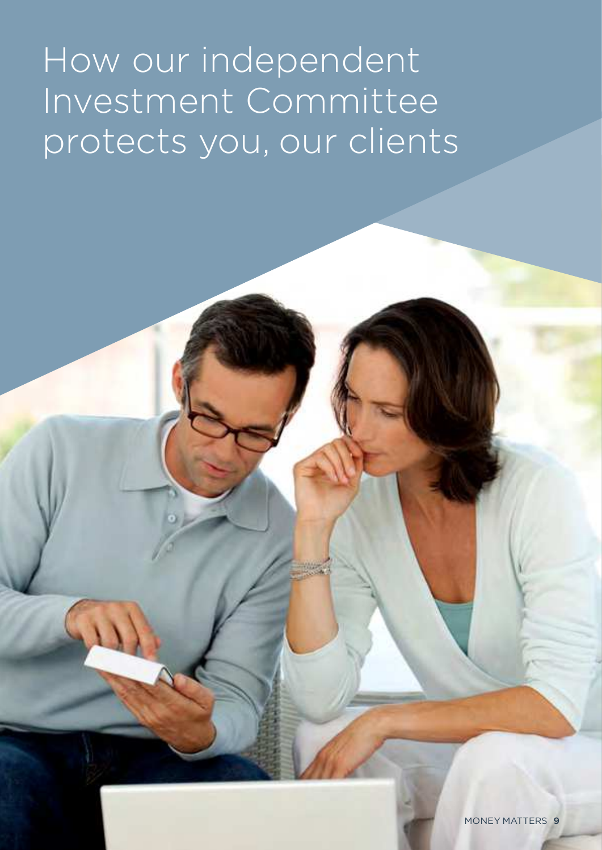# <span id="page-8-0"></span>How our independent Investment Committee protects you, our clients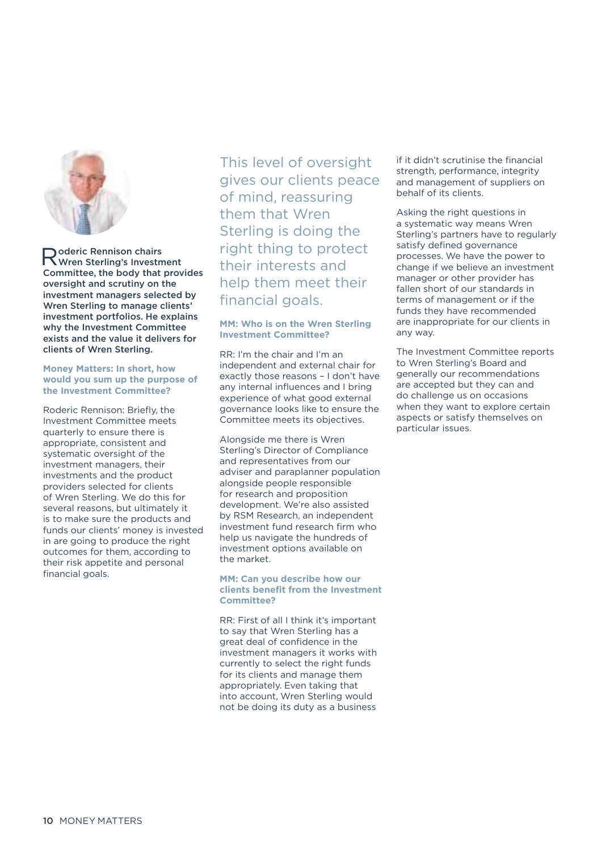![](_page_9_Picture_0.jpeg)

R Wren Sterling's Investment oderic Rennison chairs Committee, the body that provides oversight and scrutiny on the investment managers selected by Wren Sterling to manage clients' investment portfolios. He explains why the Investment Committee exists and the value it delivers for clients of Wren Sterling.

#### **Money Matters: In short, how would you sum up the purpose of the Investment Committee?**

Roderic Rennison: Briefly, the Investment Committee meets quarterly to ensure there is appropriate, consistent and systematic oversight of the investment managers, their investments and the product providers selected for clients of Wren Sterling. We do this for several reasons, but ultimately it is to make sure the products and funds our clients' money is invested in are going to produce the right outcomes for them, according to their risk appetite and personal financial goals.

This level of oversight gives our clients peace of mind, reassuring them that Wren Sterling is doing the right thing to protect their interests and help them meet their financial goals.

#### **MM: Who is on the Wren Sterling Investment Committee?**

RR: I'm the chair and I'm an independent and external chair for exactly those reasons – I don't have any internal influences and I bring experience of what good external governance looks like to ensure the Committee meets its objectives.

Alongside me there is Wren Sterling's Director of Compliance and representatives from our adviser and paraplanner population alongside people responsible for research and proposition development. We're also assisted by RSM Research, an independent investment fund research firm who help us navigate the hundreds of investment options available on the market.

#### **MM: Can you describe how our clients benefit from the Investment Committee?**

RR: First of all I think it's important to say that Wren Sterling has a great deal of confidence in the investment managers it works with currently to select the right funds for its clients and manage them appropriately. Even taking that into account, Wren Sterling would not be doing its duty as a business

if it didn't scrutinise the financial strength, performance, integrity and management of suppliers on behalf of its clients.

Asking the right questions in a systematic way means Wren Sterling's partners have to regularly satisfy defined governance processes. We have the power to change if we believe an investment manager or other provider has fallen short of our standards in terms of management or if the funds they have recommended are inappropriate for our clients in any way.

The Investment Committee reports to Wren Sterling's Board and generally our recommendations are accepted but they can and do challenge us on occasions when they want to explore certain aspects or satisfy themselves on particular issues.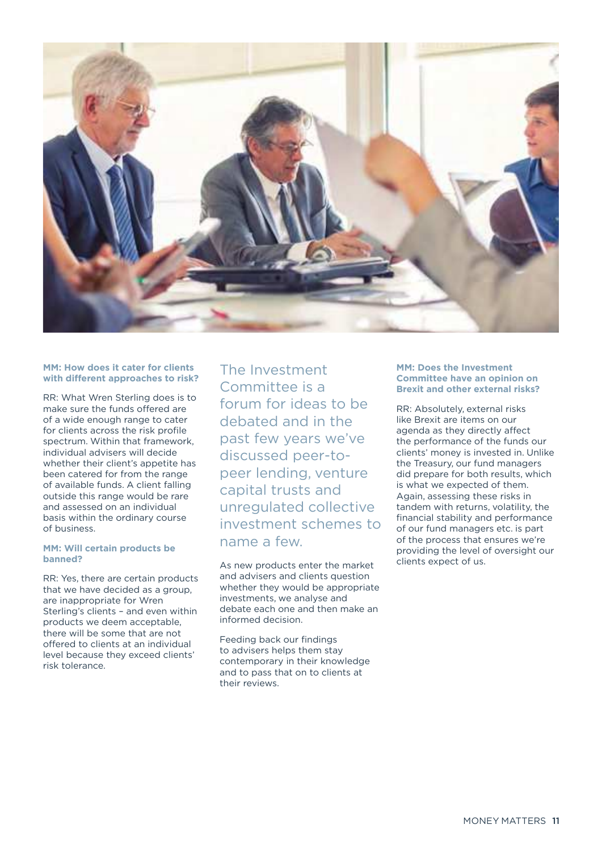![](_page_10_Picture_0.jpeg)

#### **MM: How does it cater for clients with different approaches to risk?**

RR: What Wren Sterling does is to make sure the funds offered are of a wide enough range to cater for clients across the risk profile spectrum. Within that framework, individual advisers will decide whether their client's appetite has been catered for from the range of available funds. A client falling outside this range would be rare and assessed on an individual basis within the ordinary course of business.

#### **MM: Will certain products be banned?**

RR: Yes, there are certain products that we have decided as a group, are inappropriate for Wren Sterling's clients – and even within products we deem acceptable, there will be some that are not offered to clients at an individual level because they exceed clients' risk tolerance.

The Investment Committee is a forum for ideas to be debated and in the past few years we've discussed peer-topeer lending, venture capital trusts and unregulated collective investment schemes to name a few.

As new products enter the market and advisers and clients question whether they would be appropriate investments, we analyse and debate each one and then make an informed decision.

Feeding back our findings to advisers helps them stay contemporary in their knowledge and to pass that on to clients at their reviews.

#### **MM: Does the Investment Committee have an opinion on Brexit and other external risks?**

RR: Absolutely, external risks like Brexit are items on our agenda as they directly affect the performance of the funds our clients' money is invested in. Unlike the Treasury, our fund managers did prepare for both results, which is what we expected of them. Again, assessing these risks in tandem with returns, volatility, the financial stability and performance of our fund managers etc. is part of the process that ensures we're providing the level of oversight our clients expect of us.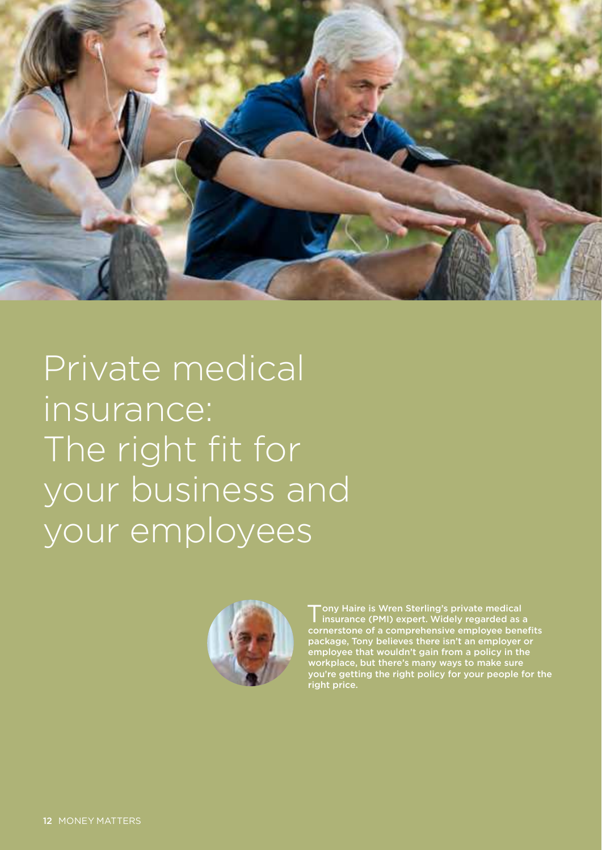<span id="page-11-0"></span>![](_page_11_Picture_0.jpeg)

Private medical insurance: The right fit for your business and your employees

![](_page_11_Picture_2.jpeg)

Tony Haire is Wren Sterling's private medical<br>insurance (PMI) expert. Widely regarded as a Tony Haire is Wren Sterling's private medical cornerstone of a comprehensive employee benefits package, Tony believes there isn't an employer or employee that wouldn't gain from a policy in the workplace, but there's many ways to make sure you're getting the right policy for your people for the right price.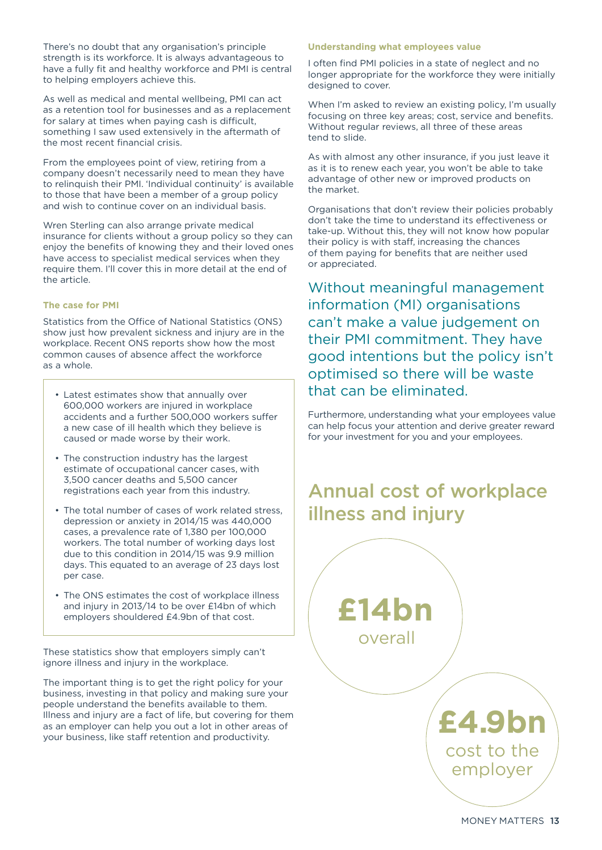There's no doubt that any organisation's principle strength is its workforce. It is always advantageous to have a fully fit and healthy workforce and PMI is central to helping employers achieve this.

As well as medical and mental wellbeing, PMI can act as a retention tool for businesses and as a replacement for salary at times when paying cash is difficult, something I saw used extensively in the aftermath of the most recent financial crisis.

From the employees point of view, retiring from a company doesn't necessarily need to mean they have to relinquish their PMI. 'Individual continuity' is available to those that have been a member of a group policy and wish to continue cover on an individual basis.

Wren Sterling can also arrange private medical insurance for clients without a group policy so they can enjoy the benefits of knowing they and their loved ones have access to specialist medical services when they require them. I'll cover this in more detail at the end of the article.

#### **The case for PMI**

Statistics from the Office of National Statistics (ONS) show just how prevalent sickness and injury are in the workplace. Recent ONS reports show how the most common causes of absence affect the workforce as a whole.

- Latest estimates show that annually over 600,000 workers are injured in workplace accidents and a further 500,000 workers suffer a new case of ill health which they believe is caused or made worse by their work.
- The construction industry has the largest estimate of occupational cancer cases, with 3,500 cancer deaths and 5,500 cancer registrations each year from this industry.
- The total number of cases of work related stress, depression or anxiety in 2014/15 was 440,000 cases, a prevalence rate of 1,380 per 100,000 workers. The total number of working days lost due to this condition in 2014/15 was 9.9 million days. This equated to an average of 23 days lost per case.
- The ONS estimates the cost of workplace illness and injury in 2013/14 to be over £14bn of which employers shouldered £4.9bn of that cost.

These statistics show that employers simply can't ignore illness and injury in the workplace.

The important thing is to get the right policy for your business, investing in that policy and making sure your people understand the benefits available to them. Illness and injury are a fact of life, but covering for them as an employer can help you out a lot in other areas of your business, like staff retention and productivity.

#### **Understanding what employees value**

I often find PMI policies in a state of neglect and no longer appropriate for the workforce they were initially designed to cover.

When I'm asked to review an existing policy, I'm usually focusing on three key areas; cost, service and benefits. Without regular reviews, all three of these areas tend to slide.

As with almost any other insurance, if you just leave it as it is to renew each year, you won't be able to take advantage of other new or improved products on the market.

Organisations that don't review their policies probably don't take the time to understand its effectiveness or take-up. Without this, they will not know how popular their policy is with staff, increasing the chances of them paying for benefits that are neither used or appreciated.

Without meaningful management information (MI) organisations can't make a value judgement on their PMI commitment. They have good intentions but the policy isn't optimised so there will be waste that can be eliminated.

Furthermore, understanding what your employees value can help focus your attention and derive greater reward for your investment for you and your employees.

### Annual cost of workplace illness and injury

![](_page_12_Picture_20.jpeg)

MONEY MATTERS 13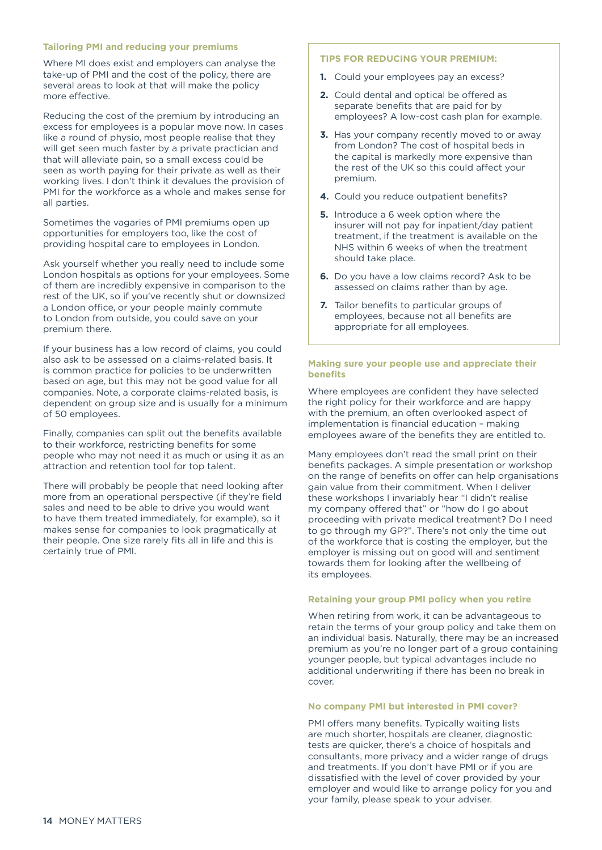#### **Tailoring PMI and reducing your premiums**

Where MI does exist and employers can analyse the take-up of PMI and the cost of the policy, there are several areas to look at that will make the policy more effective.

Reducing the cost of the premium by introducing an excess for employees is a popular move now. In cases like a round of physio, most people realise that they will get seen much faster by a private practician and that will alleviate pain, so a small excess could be seen as worth paying for their private as well as their working lives. I don't think it devalues the provision of PMI for the workforce as a whole and makes sense for all parties.

Sometimes the vagaries of PMI premiums open up opportunities for employers too, like the cost of providing hospital care to employees in London.

Ask yourself whether you really need to include some London hospitals as options for your employees. Some of them are incredibly expensive in comparison to the rest of the UK, so if you've recently shut or downsized a London office, or your people mainly commute to London from outside, you could save on your premium there.

If your business has a low record of claims, you could also ask to be assessed on a claims-related basis. It is common practice for policies to be underwritten based on age, but this may not be good value for all companies. Note, a corporate claims-related basis, is dependent on group size and is usually for a minimum of 50 employees.

Finally, companies can split out the benefits available to their workforce, restricting benefits for some people who may not need it as much or using it as an attraction and retention tool for top talent.

There will probably be people that need looking after more from an operational perspective (if they're field sales and need to be able to drive you would want to have them treated immediately, for example), so it makes sense for companies to look pragmatically at their people. One size rarely fits all in life and this is certainly true of PMI.

#### **TIPS FOR REDUCING YOUR PREMIUM:**

- **1.** Could your employees pay an excess?
- **2.** Could dental and optical be offered as separate benefits that are paid for by employees? A low-cost cash plan for example.
- **3.** Has your company recently moved to or away from London? The cost of hospital beds in the capital is markedly more expensive than the rest of the UK so this could affect your premium.
- **4.** Could you reduce outpatient benefits?
- **5.** Introduce a 6 week option where the insurer will not pay for inpatient/day patient treatment, if the treatment is available on the NHS within 6 weeks of when the treatment should take place.
- **6.** Do you have a low claims record? Ask to be assessed on claims rather than by age.
- **7.** Tailor benefits to particular groups of employees, because not all benefits are appropriate for all employees.

#### **Making sure your people use and appreciate their benefits**

Where employees are confident they have selected the right policy for their workforce and are happy with the premium, an often overlooked aspect of implementation is financial education – making employees aware of the benefits they are entitled to.

Many employees don't read the small print on their benefits packages. A simple presentation or workshop on the range of benefits on offer can help organisations gain value from their commitment. When I deliver these workshops I invariably hear "I didn't realise my company offered that" or "how do I go about proceeding with private medical treatment? Do I need to go through my GP?". There's not only the time out of the workforce that is costing the employer, but the employer is missing out on good will and sentiment towards them for looking after the wellbeing of its employees.

#### **Retaining your group PMI policy when you retire**

When retiring from work, it can be advantageous to retain the terms of your group policy and take them on an individual basis. Naturally, there may be an increased premium as you're no longer part of a group containing younger people, but typical advantages include no additional underwriting if there has been no break in cover.

#### **No company PMI but interested in PMI cover?**

PMI offers many benefits. Typically waiting lists are much shorter, hospitals are cleaner, diagnostic tests are quicker, there's a choice of hospitals and consultants, more privacy and a wider range of drugs and treatments. If you don't have PMI or if you are dissatisfied with the level of cover provided by your employer and would like to arrange policy for you and your family, please speak to your adviser.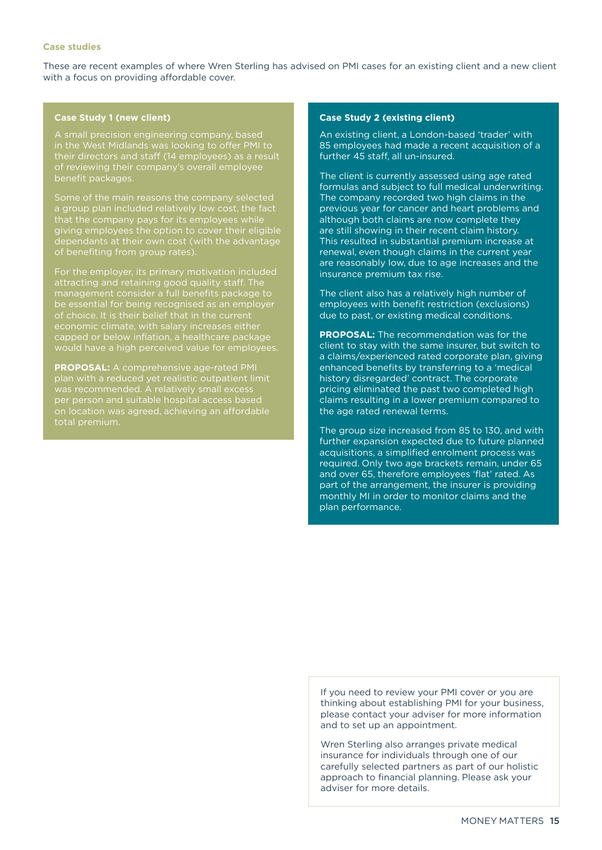#### **Case studies**

These are recent examples of where Wren Sterling has advised on PMI cases for an existing client and a new client with a focus on providing affordable cover.

#### **Case Study 1 (new client)**

A small precision engineering company, based in the West Midlands was looking to offer PMI to their directors and staff (14 employees) as a result of reviewing their company's overall employee benefit packages.

a group plan included relatively low cost, the fact that the company pays for its employees while giving employees the option to cover their eligible dependants at their own cost (with the advantage

For the employer, its primary motivation included attracting and retaining good quality staff. The management consider a full benefits package to be essential for being recognised as an employer capped or below inflation, a healthcare package would have a high perceived value for employees.

**PROPOSAL:** A comprehensive age-rated PMI plan with a reduced yet realistic outpatient limit was recommended. A relatively small excess per person and suitable hospital access based on location was agreed, achieving an affordable total premium.

#### **Case Study 2 (existing client)**

An existing client, a London-based 'trader' with 85 employees had made a recent acquisition of a further 45 staff, all un-insured.

The client is currently assessed using age rated formulas and subject to full medical underwriting. The company recorded two high claims in the previous year for cancer and heart problems and although both claims are now complete they are still showing in their recent claim history. This resulted in substantial premium increase at renewal, even though claims in the current year are reasonably low, due to age increases and the insurance premium tax rise.

The client also has a relatively high number of employees with benefit restriction (exclusions) due to past, or existing medical conditions.

**PROPOSAL:** The recommendation was for the client to stay with the same insurer, but switch to a claims/experienced rated corporate plan, giving enhanced benefits by transferring to a 'medical history disregarded' contract. The corporate pricing eliminated the past two completed high claims resulting in a lower premium compared to the age rated renewal terms.

The group size increased from 85 to 130, and with further expansion expected due to future planned acquisitions, a simplified enrolment process was required. Only two age brackets remain, under 65 and over 65, therefore employees 'flat' rated. As part of the arrangement, the insurer is providing monthly MI in order to monitor claims and the plan performance.

If you need to review your PMI cover or you are thinking about establishing PMI for your business, please contact your adviser for more information and to set up an appointment.

Wren Sterling also arranges private medical insurance for individuals through one of our carefully selected partners as part of our holistic approach to financial planning. Please ask your adviser for more details.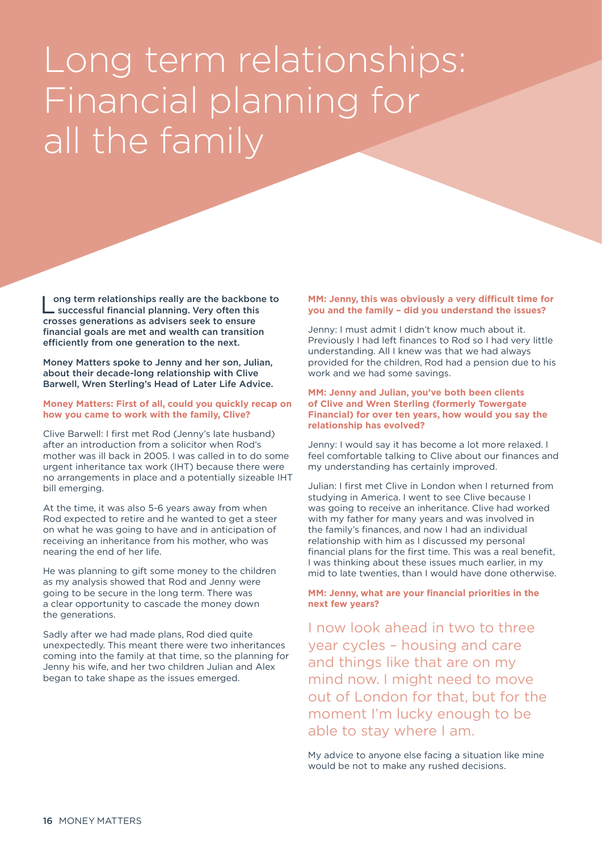# <span id="page-15-0"></span>Long term relationships: Financial planning for all the family

Long term relationships really are the backbone to<br>successful financial planning. Very often this successful financial planning. Very often this crosses generations as advisers seek to ensure financial goals are met and wealth can transition efficiently from one generation to the next.

Money Matters spoke to Jenny and her son, Julian, about their decade-long relationship with Clive Barwell, Wren Sterling's Head of Later Life Advice.

#### **Money Matters: First of all, could you quickly recap on how you came to work with the family, Clive?**

Clive Barwell: I first met Rod (Jenny's late husband) after an introduction from a solicitor when Rod's mother was ill back in 2005. I was called in to do some urgent inheritance tax work (IHT) because there were no arrangements in place and a potentially sizeable IHT bill emerging.

At the time, it was also 5-6 years away from when Rod expected to retire and he wanted to get a steer on what he was going to have and in anticipation of receiving an inheritance from his mother, who was nearing the end of her life.

He was planning to gift some money to the children as my analysis showed that Rod and Jenny were going to be secure in the long term. There was a clear opportunity to cascade the money down the generations.

Sadly after we had made plans, Rod died quite unexpectedly. This meant there were two inheritances coming into the family at that time, so the planning for Jenny his wife, and her two children Julian and Alex began to take shape as the issues emerged.

#### **MM: Jenny, this was obviously a very difficult time for you and the family – did you understand the issues?**

Jenny: I must admit I didn't know much about it. Previously I had left finances to Rod so I had very little understanding. All I knew was that we had always provided for the children, Rod had a pension due to his work and we had some savings.

#### **MM: Jenny and Julian, you've both been clients of Clive and Wren Sterling (formerly Towergate Financial) for over ten years, how would you say the relationship has evolved?**

Jenny: I would say it has become a lot more relaxed. I feel comfortable talking to Clive about our finances and my understanding has certainly improved.

Julian: I first met Clive in London when I returned from studying in America. I went to see Clive because I was going to receive an inheritance. Clive had worked with my father for many years and was involved in the family's finances, and now I had an individual relationship with him as I discussed my personal financial plans for the first time. This was a real benefit, I was thinking about these issues much earlier, in my mid to late twenties, than I would have done otherwise.

#### **MM: Jenny, what are your financial priorities in the next few years?**

I now look ahead in two to three year cycles – housing and care and things like that are on my mind now. I might need to move out of London for that, but for the moment I'm lucky enough to be able to stay where I am.

My advice to anyone else facing a situation like mine would be not to make any rushed decisions.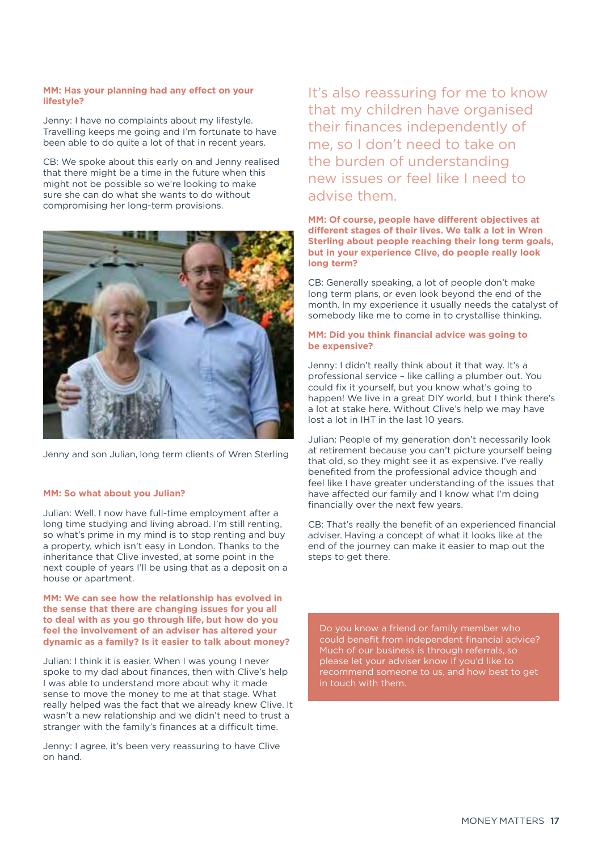#### **MM: Has your planning had any effect on your lifestyle?**

Jenny: I have no complaints about my lifestyle. Travelling keeps me going and I'm fortunate to have been able to do quite a lot of that in recent years.

CB: We spoke about this early on and Jenny realised that there might be a time in the future when this might not be possible so we're looking to make sure she can do what she wants to do without compromising her long-term provisions.

![](_page_16_Picture_3.jpeg)

Jenny and son Julian, long term clients of Wren Sterling

#### **MM: So what about you Julian?**

Julian: Well, I now have full-time employment after a long time studying and living abroad. I'm still renting, so what's prime in my mind is to stop renting and buy a property, which isn't easy in London. Thanks to the inheritance that Clive invested, at some point in the next couple of years I'll be using that as a deposit on a house or apartment.

#### **MM: We can see how the relationship has evolved in the sense that there are changing issues for you all to deal with as you go through life, but how do you feel the involvement of an adviser has altered your dynamic as a family? Is it easier to talk about money?**

Julian: I think it is easier. When I was young I never spoke to my dad about finances, then with Clive's help I was able to understand more about why it made sense to move the money to me at that stage. What really helped was the fact that we already knew Clive. It wasn't a new relationship and we didn't need to trust a stranger with the family's finances at a difficult time.

Jenny: I agree, it's been very reassuring to have Clive on hand.

It's also reassuring for me to know that my children have organised their finances independently of me, so I don't need to take on the burden of understanding new issues or feel like I need to advise them.

#### **MM: Of course, people have different objectives at different stages of their lives. We talk a lot in Wren Sterling about people reaching their long term goals, but in your experience Clive, do people really look long term?**

CB: Generally speaking, a lot of people don't make long term plans, or even look beyond the end of the month. In my experience it usually needs the catalyst of somebody like me to come in to crystallise thinking.

#### **MM: Did you think financial advice was going to be expensive?**

Jenny: I didn't really think about it that way. It's a professional service – like calling a plumber out. You could fix it yourself, but you know what's going to happen! We live in a great DIY world, but I think there's a lot at stake here. Without Clive's help we may have lost a lot in IHT in the last 10 years.

Julian: People of my generation don't necessarily look at retirement because you can't picture yourself being that old, so they might see it as expensive. I've really benefited from the professional advice though and feel like I have greater understanding of the issues that have affected our family and I know what I'm doing financially over the next few years.

CB: That's really the benefit of an experienced financial adviser. Having a concept of what it looks like at the end of the journey can make it easier to map out the steps to get there.

Do you know a friend or family member who could benefit from independent financial advice? Much of our business is through referrals, so please let your adviser know if you'd like to recommend someone to us, and how best to get in touch with them.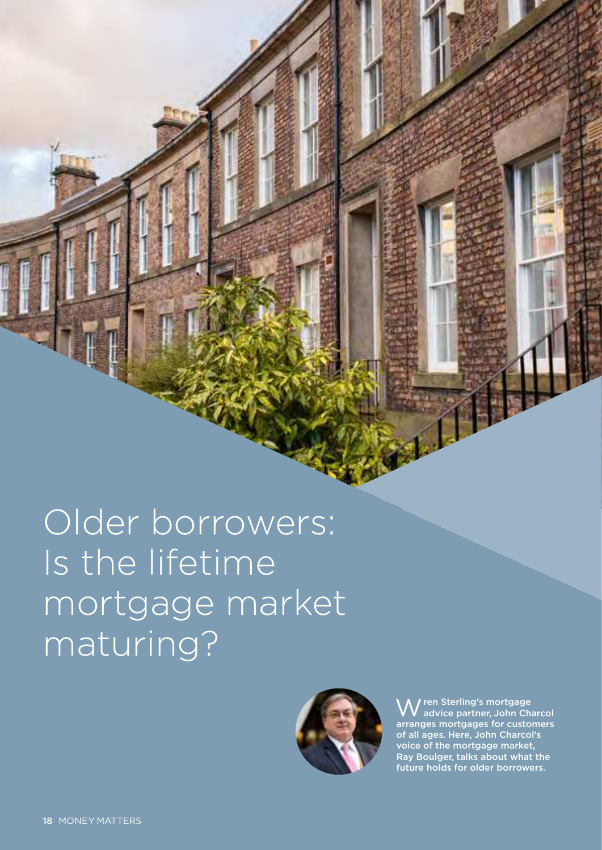<span id="page-17-0"></span>Older borrowers: Is the lifetime mortgage market maturing?

![](_page_17_Picture_1.jpeg)

Wren Sterling's mortgage advice partner, John Charcol arranges mortgages for customers of all ages. Here, John Charcol's voice of the mortgage market, Ray Boulger, talks about what the future holds for older borrowers.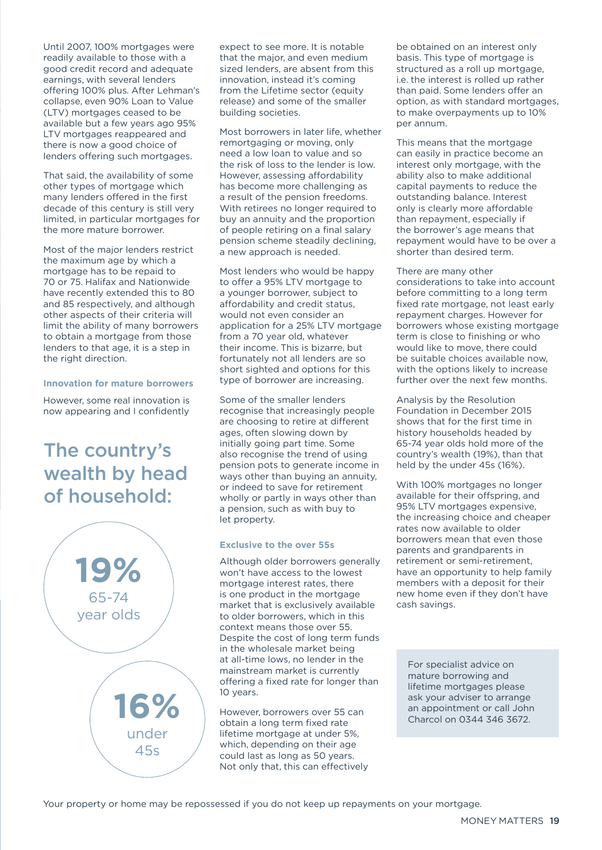Until 2007, 100% mortgages were readily available to those with a good credit record and adequate earnings, with several lenders offering 100% plus. After Lehman's collapse, even 90% Loan to Value (LTV) mortgages ceased to be available but a few years ago 95% LTV mortgages reappeared and there is now a good choice of lenders offering such mortgages.

That said, the availability of some other types of mortgage which many lenders offered in the first decade of this century is still very limited, in particular mortgages for the more mature borrower.

Most of the major lenders restrict the maximum age by which a mortgage has to be repaid to 70 or 75. Halifax and Nationwide have recently extended this to 80 and 85 respectively, and although other aspects of their criteria will limit the ability of many borrowers to obtain a mortgage from those lenders to that age, it is a step in the right direction.

#### **Innovation for mature borrowers**

However, some real innovation is now appearing and I confidently

### The country's wealth by head of household:

![](_page_18_Figure_6.jpeg)

expect to see more. It is notable that the major, and even medium sized lenders, are absent from this innovation, instead it's coming from the Lifetime sector (equity release) and some of the smaller building societies.

Most borrowers in later life, whether remortgaging or moving, only need a low loan to value and so the risk of loss to the lender is low. However, assessing affordability has become more challenging as a result of the pension freedoms. With retirees no longer required to buy an annuity and the proportion of people retiring on a final salary pension scheme steadily declining, a new approach is needed.

Most lenders who would be happy to offer a 95% LTV mortgage to a younger borrower, subject to affordability and credit status, would not even consider an application for a 25% LTV mortgage from a 70 year old, whatever their income. This is bizarre, but fortunately not all lenders are so short sighted and options for this type of borrower are increasing.

Some of the smaller lenders recognise that increasingly people are choosing to retire at different ages, often slowing down by initially going part time. Some also recognise the trend of using pension pots to generate income in ways other than buying an annuity, or indeed to save for retirement wholly or partly in ways other than a pension, such as with buy to let property.

#### **Exclusive to the over 55s**

Although older borrowers generally won't have access to the lowest mortgage interest rates, there is one product in the mortgage market that is exclusively available to older borrowers, which in this context means those over 55. Despite the cost of long term funds in the wholesale market being at all-time lows, no lender in the mainstream market is currently offering a fixed rate for longer than 10 years.

However, borrowers over 55 can obtain a long term fixed rate lifetime mortgage at under 5%, which, depending on their age could last as long as 50 years. Not only that, this can effectively be obtained on an interest only basis. This type of mortgage is structured as a roll up mortgage, i.e. the interest is rolled up rather than paid. Some lenders offer an option, as with standard mortgages, to make overpayments up to 10% per annum.

This means that the mortgage can easily in practice become an interest only mortgage, with the ability also to make additional capital payments to reduce the outstanding balance. Interest only is clearly more affordable than repayment, especially if the borrower's age means that repayment would have to be over a shorter than desired term.

There are many other considerations to take into account before committing to a long term fixed rate mortgage, not least early repayment charges. However for borrowers whose existing mortgage term is close to finishing or who would like to move, there could be suitable choices available now, with the options likely to increase further over the next few months.

Analysis by the Resolution Foundation in December 2015 shows that for the first time in history households headed by 65-74 year olds hold more of the country's wealth (19%), than that held by the under 45s (16%).

With 100% mortgages no longer available for their offspring, and 95% LTV mortgages expensive, the increasing choice and cheaper rates now available to older borrowers mean that even those parents and grandparents in retirement or semi-retirement, have an opportunity to help family members with a deposit for their new home even if they don't have cash savings.

For specialist advice on mature borrowing and lifetime mortgages please ask your adviser to arrange an appointment or call John Charcol on 0344 346 3672.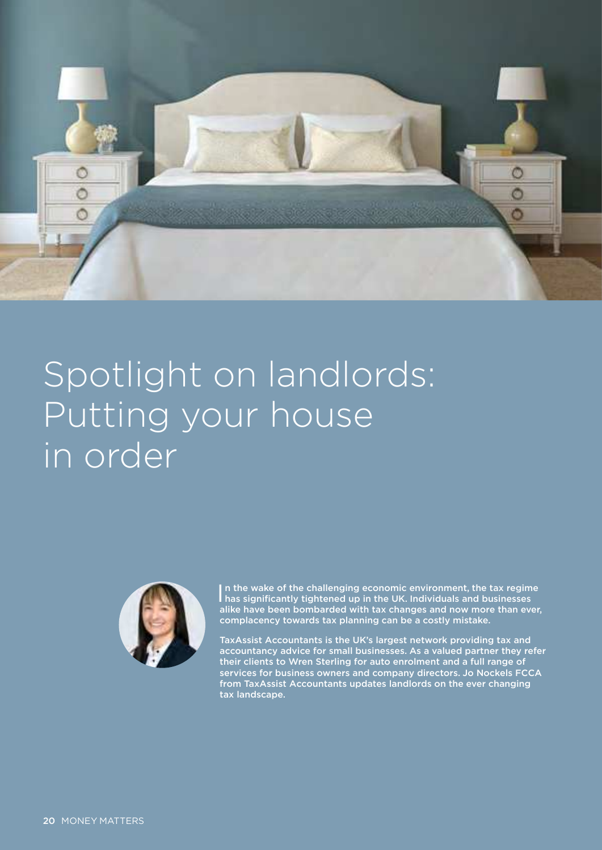<span id="page-19-0"></span>![](_page_19_Picture_0.jpeg)

# Spotlight on landlords: Putting your house in order

![](_page_19_Picture_2.jpeg)

In the wake of the challenging economic environment, the tax regim<br>has significantly tightened up in the UK. Individuals and businesses In the wake of the challenging economic environment, the tax regime alike have been bombarded with tax changes and now more than ever, complacency towards tax planning can be a costly mistake.

TaxAssist Accountants is the UK's largest network providing tax and accountancy advice for small businesses. As a valued partner they refer their clients to Wren Sterling for auto enrolment and a full range of services for business owners and company directors. Jo Nockels FCCA from TaxAssist Accountants updates landlords on the ever changing tax landscape.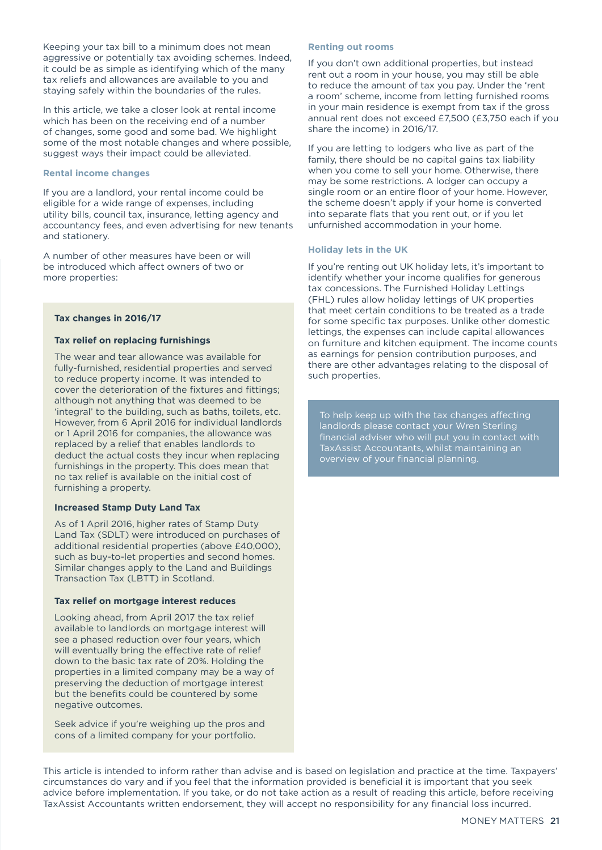Keeping your tax bill to a minimum does not mean aggressive or potentially tax avoiding schemes. Indeed, it could be as simple as identifying which of the many tax reliefs and allowances are available to you and staying safely within the boundaries of the rules.

In this article, we take a closer look at rental income which has been on the receiving end of a number of changes, some good and some bad. We highlight some of the most notable changes and where possible, suggest ways their impact could be alleviated.

#### **Rental income changes**

If you are a landlord, your rental income could be eligible for a wide range of expenses, including utility bills, council tax, insurance, letting agency and accountancy fees, and even advertising for new tenants and stationery.

A number of other measures have been or will be introduced which affect owners of two or more properties:

#### **Tax changes in 2016/17**

#### **Tax relief on replacing furnishings**

The wear and tear allowance was available for fully-furnished, residential properties and served to reduce property income. It was intended to cover the deterioration of the fixtures and fittings; although not anything that was deemed to be 'integral' to the building, such as baths, toilets, etc. However, from 6 April 2016 for individual landlords or 1 April 2016 for companies, the allowance was replaced by a relief that enables landlords to deduct the actual costs they incur when replacing furnishings in the property. This does mean that no tax relief is available on the initial cost of furnishing a property.

#### **Increased Stamp Duty Land Tax**

As of 1 April 2016, higher rates of Stamp Duty Land Tax (SDLT) were introduced on purchases of additional residential properties (above £40,000), such as buy-to-let properties and second homes. Similar changes apply to the Land and Buildings Transaction Tax (LBTT) in Scotland.

#### **Tax relief on mortgage interest reduces**

Looking ahead, from April 2017 the tax relief available to landlords on mortgage interest will see a phased reduction over four years, which will eventually bring the effective rate of relief down to the basic tax rate of 20%. Holding the properties in a limited company may be a way of preserving the deduction of mortgage interest but the benefits could be countered by some negative outcomes.

Seek advice if you're weighing up the pros and cons of a limited company for your portfolio.

#### **Renting out rooms**

If you don't own additional properties, but instead rent out a room in your house, you may still be able to reduce the amount of tax you pay. Under the 'rent a room' scheme, income from letting furnished rooms in your main residence is exempt from tax if the gross annual rent does not exceed £7,500 (£3,750 each if you share the income) in 2016/17.

If you are letting to lodgers who live as part of the family, there should be no capital gains tax liability when you come to sell your home. Otherwise, there may be some restrictions. A lodger can occupy a single room or an entire floor of your home. However, the scheme doesn't apply if your home is converted into separate flats that you rent out, or if you let unfurnished accommodation in your home.

#### **Holiday lets in the UK**

If you're renting out UK holiday lets, it's important to identify whether your income qualifies for generous tax concessions. The Furnished Holiday Lettings (FHL) rules allow holiday lettings of UK properties that meet certain conditions to be treated as a trade for some specific tax purposes. Unlike other domestic lettings, the expenses can include capital allowances on furniture and kitchen equipment. The income counts as earnings for pension contribution purposes, and there are other advantages relating to the disposal of such properties.

To help keep up with the tax changes affecting landlords please contact your Wren Sterling financial adviser who will put you in contact with TaxAssist Accountants, whilst maintaining an overview of your financial planning.

This article is intended to inform rather than advise and is based on legislation and practice at the time. Taxpayers' circumstances do vary and if you feel that the information provided is beneficial it is important that you seek advice before implementation. If you take, or do not take action as a result of reading this article, before receiving TaxAssist Accountants written endorsement, they will accept no responsibility for any financial loss incurred.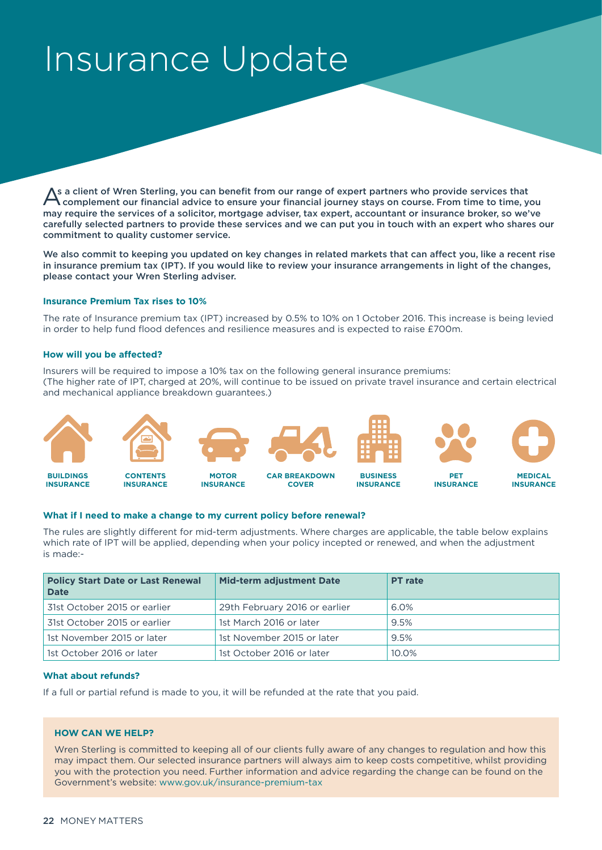## <span id="page-21-0"></span>Insurance Update

As a client of Wren Sterling, you can benefit from our range of expert partners who provide services that<br>Complement our financial advice to ensure your financial journey stays on course. From time to time, you **\** complement our financial advice to ensure your financial journey stays on course. From time to time, you may require the services of a solicitor, mortgage adviser, tax expert, accountant or insurance broker, so we've carefully selected partners to provide these services and we can put you in touch with an expert who shares our commitment to quality customer service.

We also commit to keeping you updated on key changes in related markets that can affect you, like a recent rise in insurance premium tax (IPT). If you would like to review your insurance arrangements in light of the changes, please contact your Wren Sterling adviser.

#### **Insurance Premium Tax rises to 10%**

The rate of Insurance premium tax (IPT) increased by 0.5% to 10% on 1 October 2016. This increase is being levied in order to help fund flood defences and resilience measures and is expected to raise £700m.

#### **How will you be affected?**

Insurers will be required to impose a 10% tax on the following general insurance premiums: (The higher rate of IPT, charged at 20%, will continue to be issued on private travel insurance and certain electrical and mechanical appliance breakdown guarantees.)

![](_page_21_Figure_7.jpeg)

#### **What if I need to make a change to my current policy before renewal?**

The rules are slightly different for mid-term adjustments. Where charges are applicable, the table below explains which rate of IPT will be applied, depending when your policy incepted or renewed, and when the adjustment is made:-

| <b>Policy Start Date or Last Renewal</b><br><b>Date</b> | <b>Mid-term adjustment Date</b> | <b>PT</b> rate |
|---------------------------------------------------------|---------------------------------|----------------|
| 31st October 2015 or earlier                            | 29th February 2016 or earlier   | 6.0%           |
| 31st October 2015 or earlier                            | 1st March 2016 or later         | 9.5%           |
| 1st November 2015 or later                              | 1st November 2015 or later      | 9.5%           |
| 1st October 2016 or later                               | 1st October 2016 or later       | 10.0%          |

#### **What about refunds?**

If a full or partial refund is made to you, it will be refunded at the rate that you paid.

#### **HOW CAN WE HELP?**

Wren Sterling is committed to keeping all of our clients fully aware of any changes to regulation and how this may impact them. Our selected insurance partners will always aim to keep costs competitive, whilst providing you with the protection you need. Further information and advice regarding the change can be found on the Government's website: [www.gov.uk/insurance-premium-tax](http://www.gov.uk/insurance-premium-tax)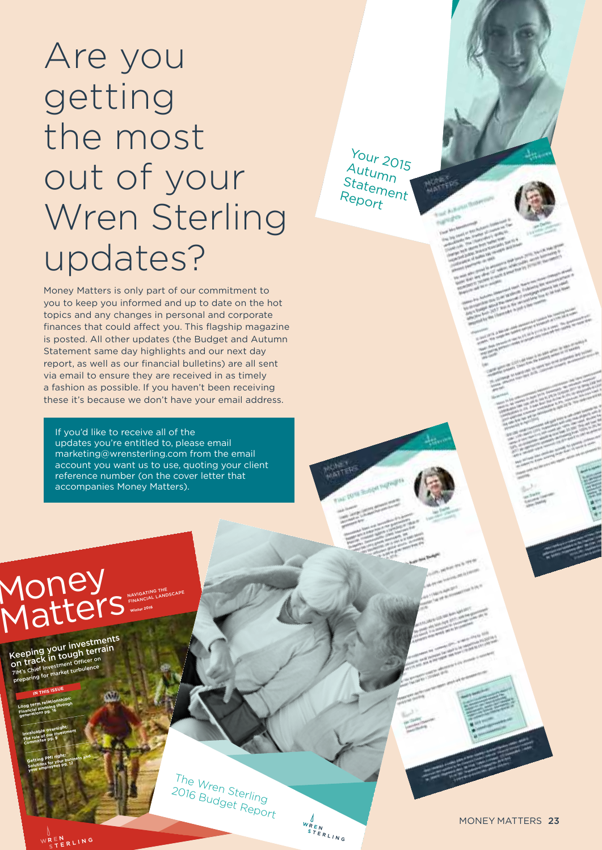# Are you getting the most out of your Wren Sterling updates?

Money Matters is only part of our commitment to you to keep you informed and up to date on the hot topics and any changes in personal and corporate finances that could affect you. This flagship magazine is posted. All other updates (the Budget and Autumn Statement same day highlights and our next day report, as well as our financial bulletins) are all sent via email to ensure they are received in as timely a fashion as possible. If you haven't been receiving these it's because we don't have your email address.

If you'd like to receive all of the updates you're entitled to, please email marketing@wrensterling.com from the email account you want us to use, quoting your client reference number (on the cover letter that accompanies Money Matters).

NAVIGATING THE NAVIGATING ILLOSCAPE Money **Matters** 

Keeping your investments Keeping your live terrain<br>on track in tough terrain<br>7I<sup>M's Chief Investment Officer on</sup><br>Preparing for market turbulence

**generations pg. 16 Invaluable oversight: nyaluable overwestment**<br>The rols of our Investment **Committee pg. 9**

**Long term relationships: Financial planning through** 

**IN THIS ISSU<sup>E</sup>**

**Getting PMI right:**  Getting PMI right:<br>Selutions for your business and<br>Solutions loyees pg. 12 **your employees pg. 12**

The Wren Sterling 2016 Budget Report

 $\begin{matrix} \mathcal{N}_{REN} \\ s_{TERLING} \end{matrix}$ 

Your 2015 Autumn Statement Report

MONEY MATTERS 23

NREN<br>CTERLING